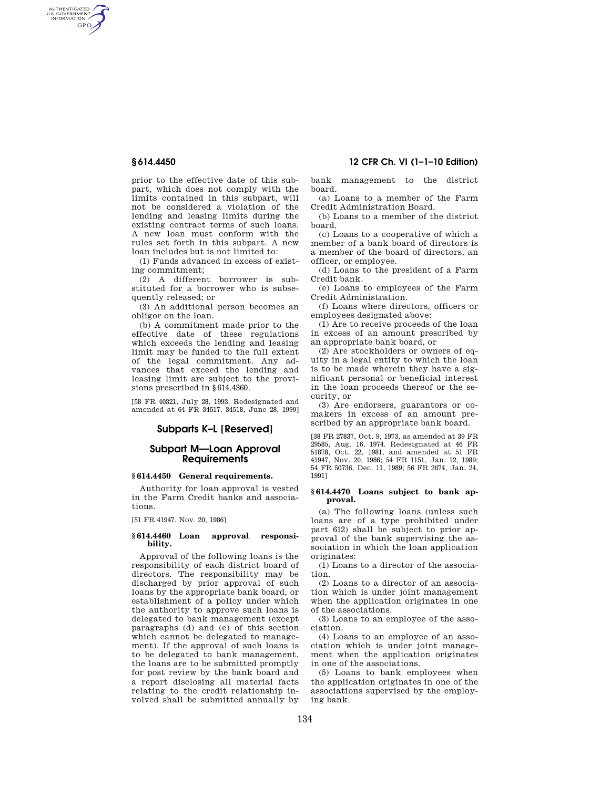AUTHENTICATED<br>U.S. GOVERNMENT<br>INFORMATION **GPO** 

> prior to the effective date of this subpart, which does not comply with the limits contained in this subpart, will not be considered a violation of the lending and leasing limits during the existing contract terms of such loans. A new loan must conform with the rules set forth in this subpart. A new loan includes but is not limited to:

(1) Funds advanced in excess of existing commitment;

(2) A different borrower is substituted for a borrower who is subsequently released; or

(3) An additional person becomes an obligor on the loan.

(b) A commitment made prior to the effective date of these regulations which exceeds the lending and leasing limit may be funded to the full extent of the legal commitment. Any advances that exceed the lending and leasing limit are subject to the provisions prescribed in §614.4360.

[58 FR 40321, July 28, 1993. Redesignated and amended at 64 FR 34517, 34518, June 28, 1999]

# **Subparts K–L [Reserved]**

## **Subpart M—Loan Approval Requirements**

# **§ 614.4450 General requirements.**

Authority for loan approval is vested in the Farm Credit banks and associations.

[51 FR 41947, Nov. 20, 1986]

#### **§ 614.4460 Loan approval responsibility.**

Approval of the following loans is the responsibility of each district board of directors. The responsibility may be discharged by prior approval of such loans by the appropriate bank board, or establishment of a policy under which the authority to approve such loans is delegated to bank management (except paragraphs (d) and (e) of this section which cannot be delegated to management). If the approval of such loans is to be delegated to bank management, the loans are to be submitted promptly for post review by the bank board and a report disclosing all material facts relating to the credit relationship involved shall be submitted annually by

# **§ 614.4450 12 CFR Ch. VI (1–1–10 Edition)**

bank management to the district board.

(a) Loans to a member of the Farm Credit Administration Board.

(b) Loans to a member of the district board.

(c) Loans to a cooperative of which a member of a bank board of directors is a member of the board of directors, an officer, or employee.

(d) Loans to the president of a Farm Credit bank.

(e) Loans to employees of the Farm Credit Administration.

(f) Loans where directors, officers or employees designated above:

(1) Are to receive proceeds of the loan in excess of an amount prescribed by an appropriate bank board, or

(2) Are stockholders or owners of equity in a legal entity to which the loan is to be made wherein they have a significant personal or beneficial interest in the loan proceeds thereof or the security, or

(3) Are endorsers, guarantors or comakers in excess of an amount prescribed by an appropriate bank board.

[38 FR 27837, Oct. 9, 1973, as amended at 39 FR 29585, Aug. 16, 1974. Redesignated at 46 FR 51878, Oct. 22, 1981, and amended at 51 FR 41947, Nov. 20, 1986; 54 FR 1151, Jan. 12, 1989; 54 FR 50736, Dec. 11, 1989; 56 FR 2674, Jan. 24, 1991]

#### **§ 614.4470 Loans subject to bank approval.**

(a) The following loans (unless such loans are of a type prohibited under part 612) shall be subject to prior approval of the bank supervising the association in which the loan application originates:

(1) Loans to a director of the association.

(2) Loans to a director of an association which is under joint management when the application originates in one of the associations.

(3) Loans to an employee of the association.

(4) Loans to an employee of an association which is under joint management when the application originates in one of the associations.

(5) Loans to bank employees when the application originates in one of the associations supervised by the employing bank.